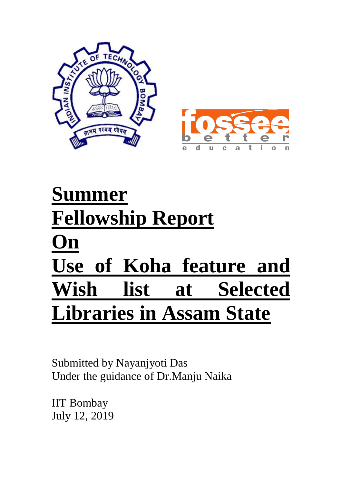



# **Summer Fellowship Report On Use of Koha feature and Wish list at Selected Libraries in Assam State**

Submitted by Nayanjyoti Das Under the guidance of Dr.Manju Naika

IIT Bombay July 12, 2019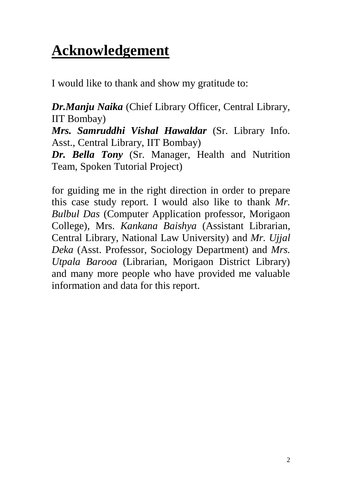## **Acknowledgement**

I would like to thank and show my gratitude to:

*Dr.Manju Naika* (Chief Library Officer, Central Library, IIT Bombay)

*Mrs. Samruddhi Vishal Hawaldar* (Sr. Library Info. Asst., Central Library, IIT Bombay)

*Dr. Bella Tony* (Sr. Manager, Health and Nutrition Team, Spoken Tutorial Project)

for guiding me in the right direction in order to prepare this case study report. I would also like to thank *Mr. Bulbul Das* (Computer Application professor, Morigaon College), Mrs. *Kankana Baishya* (Assistant Librarian, Central Library, National Law University) and *Mr. Ujjal Deka* (Asst. Professor, Sociology Department) and *Mrs. Utpala Barooa* (Librarian, Morigaon District Library) and many more people who have provided me valuable information and data for this report.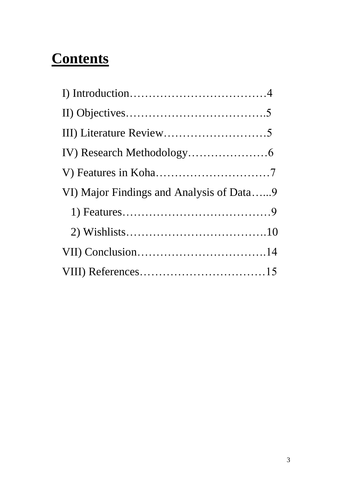## **Contents**

| VI) Major Findings and Analysis of Data9 |
|------------------------------------------|
|                                          |
|                                          |
|                                          |
|                                          |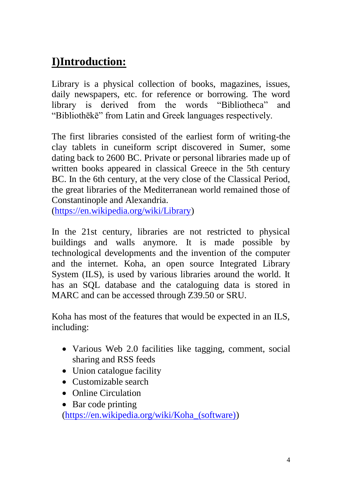## **I)Introduction:**

Library is a physical collection of books, magazines, issues, daily newspapers, etc. for reference or borrowing. The word library is derived from the words "Bibliotheca" and "Bibliothēkē" from Latin and Greek languages respectively.

The first libraries consisted of the earliest form of writing-the clay tablets in cuneiform script discovered in Sumer, some dating back to 2600 BC. Private or personal libraries made up of written books appeared in classical Greece in the 5th century BC. In the 6th century, at the very close of the Classical Period, the great libraries of the Mediterranean world remained those of Constantinople and Alexandria.

[\(https://en.wikipedia.org/wiki/Library\)](https://en.wikipedia.org/wiki/Library)

In the 21st century, libraries are not restricted to physical buildings and walls anymore. It is made possible by technological developments and the invention of the computer and the internet. Koha, an open source Integrated Library System (ILS), is used by various libraries around the world. It has an SQL database and the cataloguing data is stored in MARC and can be accessed through Z39.50 or SRU.

Koha has most of the features that would be expected in an ILS, including:

- Various Web 2.0 facilities like tagging, comment, social sharing and RSS feeds
- Union catalogue facility
- Customizable search
- Online Circulation
- Bar code printing

[\(https://en.wikipedia.org/wiki/Koha\\_\(software\)\)](https://en.wikipedia.org/wiki/Koha_(software))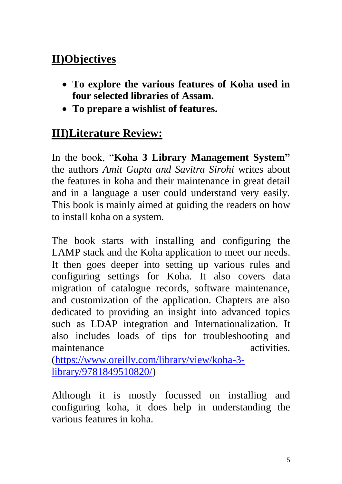### **II)Objectives**

- **To explore the various features of Koha used in four selected libraries of Assam.**
- **To prepare a wishlist of features.**

## **III)Literature Review:**

In the book, "**Koha 3 Library Management System"**  the authors *Amit Gupta and Savitra Sirohi* writes about the features in koha and their maintenance in great detail and in a language a user could understand very easily. This book is mainly aimed at guiding the readers on how to install koha on a system.

The book starts with installing and configuring the LAMP stack and the Koha application to meet our needs. It then goes deeper into setting up various rules and configuring settings for Koha. It also covers data migration of catalogue records, software maintenance, and customization of the application. Chapters are also dedicated to providing an insight into advanced topics such as LDAP integration and Internationalization. It also includes loads of tips for troubleshooting and maintenance activities.

[\(https://www.oreilly.com/library/view/koha-3](https://www.oreilly.com/library/view/koha-3-library/9781849510820/) [library/9781849510820/\)](https://www.oreilly.com/library/view/koha-3-library/9781849510820/)

Although it is mostly focussed on installing and configuring koha, it does help in understanding the various features in koha.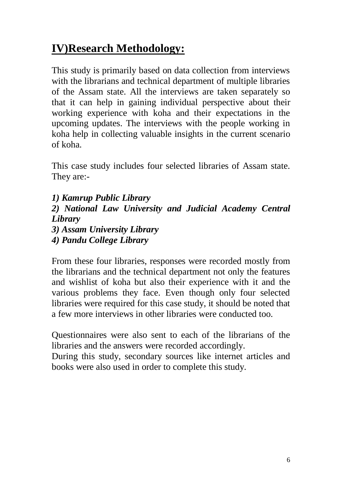## **IV)Research Methodology:**

This study is primarily based on data collection from interviews with the librarians and technical department of multiple libraries of the Assam state. All the interviews are taken separately so that it can help in gaining individual perspective about their working experience with koha and their expectations in the upcoming updates. The interviews with the people working in koha help in collecting valuable insights in the current scenario of koha.

This case study includes four selected libraries of Assam state. They are:-

*1) Kamrup Public Library 2) National Law University and Judicial Academy Central Library 3) Assam University Library* 

*4) Pandu College Library*

From these four libraries, responses were recorded mostly from the librarians and the technical department not only the features and wishlist of koha but also their experience with it and the various problems they face. Even though only four selected libraries were required for this case study, it should be noted that a few more interviews in other libraries were conducted too.

Questionnaires were also sent to each of the librarians of the libraries and the answers were recorded accordingly.

During this study, secondary sources like internet articles and books were also used in order to complete this study.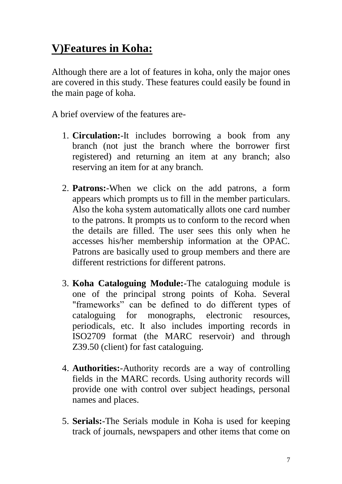## **V)Features in Koha:**

Although there are a lot of features in koha, only the major ones are covered in this study. These features could easily be found in the main page of koha.

A brief overview of the features are-

- 1. **Circulation:**-It includes borrowing a book from any branch (not just the branch where the borrower first registered) and returning an item at any branch; also reserving an item for at any branch.
- 2. **Patrons:**-When we click on the add patrons, a form appears which prompts us to fill in the member particulars. Also the koha system automatically allots one card number to the patrons. It prompts us to conform to the record when the details are filled. The user sees this only when he accesses his/her membership information at the OPAC. Patrons are basically used to group members and there are different restrictions for different patrons.
- 3. **Koha Cataloguing Module:**-The cataloguing module is one of the principal strong points of Koha. Several "frameworks" can be defined to do different types of cataloguing for monographs, electronic resources, periodicals, etc. It also includes importing records in ISO2709 format (the MARC reservoir) and through Z39.50 (client) for fast cataloguing.
- 4. **Authorities:**-Authority records are a way of controlling fields in the MARC records. Using authority records will provide one with control over subject headings, personal names and places.
- 5. **Serials:**-The Serials module in Koha is used for keeping track of journals, newspapers and other items that come on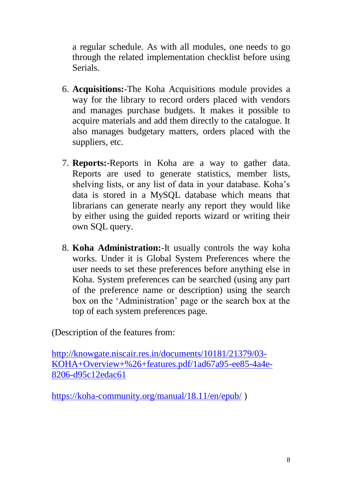a regular schedule. As with all modules, one needs to go through the related implementation checklist before using Serials.

- 6. **Acquisitions:**-The Koha Acquisitions module provides a way for the library to record orders placed with vendors and manages purchase budgets. It makes it possible to acquire materials and add them directly to the catalogue. It also manages budgetary matters, orders placed with the suppliers, etc.
- 7. **Reports:**-Reports in Koha are a way to gather data. Reports are used to generate statistics, member lists, shelving lists, or any list of data in your database. Koha's data is stored in a MySQL database which means that librarians can generate nearly any report they would like by either using the guided reports wizard or writing their own SQL query.
- 8. **Koha Administration:**-It usually controls the way koha works. Under it is Global System Preferences where the user needs to set these preferences before anything else in Koha. System preferences can be searched (using any part of the preference name or description) using the search box on the 'Administration' page or the search box at the top of each system preferences page.

(Description of the features from:

[http://knowgate.niscair.res.in/documents/10181/21379/03-](http://knowgate.niscair.res.in/documents/10181/21379/03-KOHA+Overview+%26+features.pdf/1ad67a95-ee85-4a4e-8206-d95c12edac61) [KOHA+Overview+%26+features.pdf/1ad67a95-ee85-4a4e-](http://knowgate.niscair.res.in/documents/10181/21379/03-KOHA+Overview+%26+features.pdf/1ad67a95-ee85-4a4e-8206-d95c12edac61)[8206-d95c12edac61](http://knowgate.niscair.res.in/documents/10181/21379/03-KOHA+Overview+%26+features.pdf/1ad67a95-ee85-4a4e-8206-d95c12edac61)

<https://koha-community.org/manual/18.11/en/epub/> )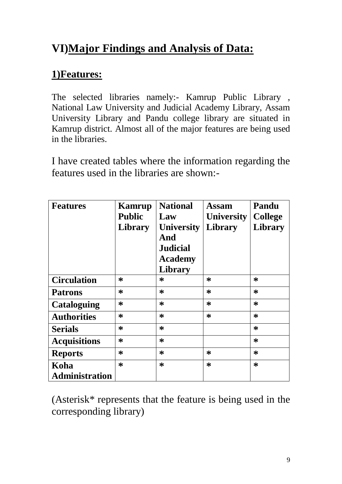## **VI)Major Findings and Analysis of Data:**

#### **1)Features:**

The selected libraries namely:- Kamrup Public Library , National Law University and Judicial Academy Library, Assam University Library and Pandu college library are situated in Kamrup district. Almost all of the major features are being used in the libraries.

I have created tables where the information regarding the features used in the libraries are shown:-

| <b>Features</b>               | Kamrup<br><b>Public</b><br>Library | <b>National</b><br>Law<br><b>University</b><br>And<br><b>Judicial</b><br><b>Academy</b><br>Library | Assam<br><b>University</b><br><b>Library</b> | Pandu<br><b>College</b><br><b>Library</b> |
|-------------------------------|------------------------------------|----------------------------------------------------------------------------------------------------|----------------------------------------------|-------------------------------------------|
| <b>Circulation</b>            | ∗                                  | ∗                                                                                                  | *                                            | ∗                                         |
| <b>Patrons</b>                | $\ast$                             | ∗                                                                                                  | ∗                                            | $\ast$                                    |
| <b>Cataloguing</b>            | ∗                                  | *                                                                                                  | *                                            | $\ast$                                    |
| <b>Authorities</b>            | ∗                                  | $\ast$                                                                                             | $\ast$                                       | $\ast$                                    |
| <b>Serials</b>                | $\ast$                             | *                                                                                                  |                                              | $\ast$                                    |
| <b>Acquisitions</b>           | ∗                                  | ∗                                                                                                  |                                              | $\ast$                                    |
| <b>Reports</b>                | ∗                                  | *                                                                                                  | *                                            | $\ast$                                    |
| Koha<br><b>Administration</b> | $\ast$                             | $\ast$                                                                                             | ∗                                            | $\ast$                                    |

(Asterisk\* represents that the feature is being used in the corresponding library)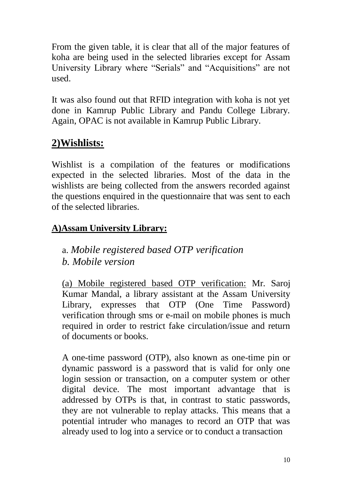From the given table, it is clear that all of the major features of koha are being used in the selected libraries except for Assam University Library where "Serials" and "Acquisitions" are not used.

It was also found out that RFID integration with koha is not yet done in Kamrup Public Library and Pandu College Library. Again, OPAC is not available in Kamrup Public Library.

#### **2)Wishlists:**

Wishlist is a compilation of the features or modifications expected in the selected libraries. Most of the data in the wishlists are being collected from the answers recorded against the questions enquired in the questionnaire that was sent to each of the selected libraries.

#### **A)Assam University Library:**

a. *Mobile registered based OTP verification b. Mobile version*

(a) Mobile registered based OTP verification: Mr. Saroj Kumar Mandal, a library assistant at the Assam University Library, expresses that OTP (One Time Password) verification through sms or e-mail on mobile phones is much required in order to restrict fake circulation/issue and return of documents or books.

A one-time password (OTP), also known as one-time pin or dynamic password is a password that is valid for only one login session or transaction, on a computer system or other digital device. The most important advantage that is addressed by OTPs is that, in contrast to static passwords, they are not vulnerable to replay attacks. This means that a potential intruder who manages to record an OTP that was already used to log into a service or to conduct a transaction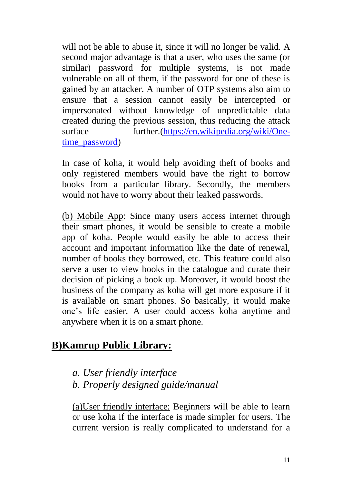will not be able to abuse it, since it will no longer be valid. A second major advantage is that a user, who uses the same (or similar) password for multiple systems, is not made vulnerable on all of them, if the password for one of these is gained by an attacker. A number of OTP systems also aim to ensure that a session cannot easily be intercepted or impersonated without knowledge of unpredictable data created during the previous session, thus reducing the attack surface further.[\(https://en.wikipedia.org/wiki/One](https://en.wikipedia.org/wiki/One-time_password)[time\\_password\)](https://en.wikipedia.org/wiki/One-time_password)

In case of koha, it would help avoiding theft of books and only registered members would have the right to borrow books from a particular library. Secondly, the members would not have to worry about their leaked passwords.

(b) Mobile App: Since many users access internet through their smart phones, it would be sensible to create a mobile app of koha. People would easily be able to access their account and important information like the date of renewal, number of books they borrowed, etc. This feature could also serve a user to view books in the catalogue and curate their decision of picking a book up. Moreover, it would boost the business of the company as koha will get more exposure if it is available on smart phones. So basically, it would make one's life easier. A user could access koha anytime and anywhere when it is on a smart phone.

#### **B)Kamrup Public Library:**

#### *a. User friendly interface b. Properly designed guide/manual*

(a)User friendly interface: Beginners will be able to learn or use koha if the interface is made simpler for users. The current version is really complicated to understand for a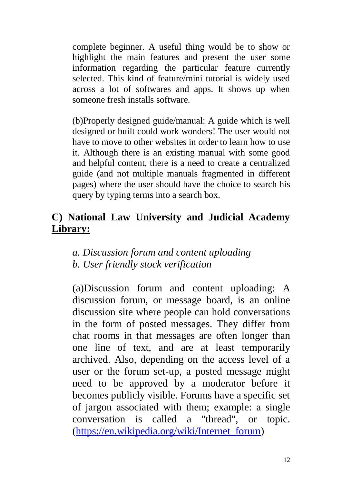complete beginner. A useful thing would be to show or highlight the main features and present the user some information regarding the particular feature currently selected. This kind of feature/mini tutorial is widely used across a lot of softwares and apps. It shows up when someone fresh installs software.

(b)Properly designed guide/manual: A guide which is well designed or built could work wonders! The user would not have to move to other websites in order to learn how to use it. Although there is an existing manual with some good and helpful content, there is a need to create a centralized guide (and not multiple manuals fragmented in different pages) where the user should have the choice to search his query by typing terms into a search box.

#### **C) National Law University and Judicial Academy Library:**

#### *a. Discussion forum and content uploading b. User friendly stock verification*

(a)Discussion forum and content uploading: A discussion forum, or message board, is an online discussion site where people can hold conversations in the form of posted messages. They differ from chat rooms in that messages are often longer than one line of text, and are at least temporarily archived. Also, depending on the access level of a user or the forum set-up, a posted message might need to be approved by a moderator before it becomes publicly visible. Forums have a specific set of jargon associated with them; example: a single conversation is called a "thread", or topic. [\(https://en.wikipedia.org/wiki/Internet\\_forum\)](https://en.wikipedia.org/wiki/Internet_forum)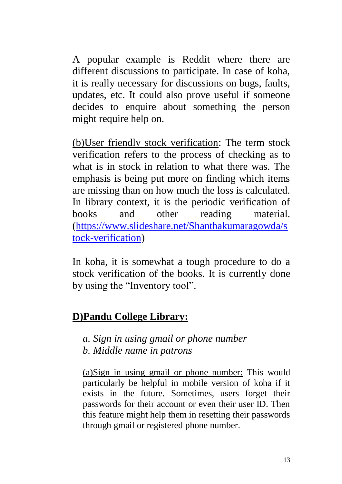A popular example is Reddit where there are different discussions to participate. In case of koha, it is really necessary for discussions on bugs, faults, updates, etc. It could also prove useful if someone decides to enquire about something the person might require help on.

(b)User friendly stock verification: The term stock verification refers to the process of checking as to what is in stock in relation to what there was. The emphasis is being put more on finding which items are missing than on how much the loss is calculated. In library context, it is the periodic verification of books and other reading material. [\(https://www.slideshare.net/Shanthakumaragowda/s](https://www.slideshare.net/Shanthakumaragowda/stock-verification) [tock-verification\)](https://www.slideshare.net/Shanthakumaragowda/stock-verification)

In koha, it is somewhat a tough procedure to do a stock verification of the books. It is currently done by using the "Inventory tool".

#### **D)Pandu College Library:**

*a. Sign in using gmail or phone number b. Middle name in patrons*

(a)Sign in using gmail or phone number: This would particularly be helpful in mobile version of koha if it exists in the future. Sometimes, users forget their passwords for their account or even their user ID. Then this feature might help them in resetting their passwords through gmail or registered phone number.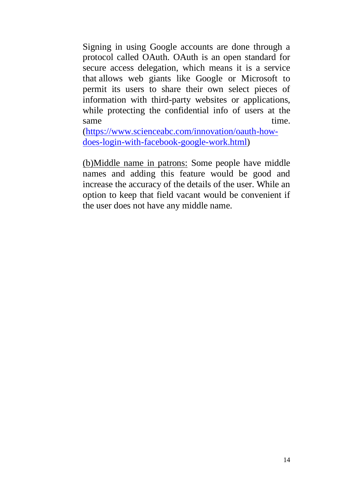Signing in using Google accounts are done through a protocol called OAuth. OAuth is an open standard for secure access delegation, which means it is a service that allows web giants like Google or Microsoft to permit its users to share their own select pieces of information with third-party websites or applications, while protecting the confidential info of users at the same time.

[\(https://www.scienceabc.com/innovation/oauth-how](https://www.scienceabc.com/innovation/oauth-how-does-login-with-facebook-google-work.html)[does-login-with-facebook-google-work.html\)](https://www.scienceabc.com/innovation/oauth-how-does-login-with-facebook-google-work.html)

(b)Middle name in patrons: Some people have middle names and adding this feature would be good and increase the accuracy of the details of the user. While an option to keep that field vacant would be convenient if the user does not have any middle name.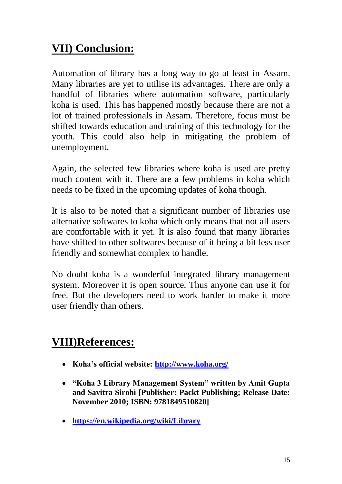## **VII) Conclusion:**

Automation of library has a long way to go at least in Assam. Many libraries are yet to utilise its advantages. There are only a handful of libraries where automation software, particularly koha is used. This has happened mostly because there are not a lot of trained professionals in Assam. Therefore, focus must be shifted towards education and training of this technology for the youth. This could also help in mitigating the problem of unemployment.

Again, the selected few libraries where koha is used are pretty much content with it. There are a few problems in koha which needs to be fixed in the upcoming updates of koha though.

It is also to be noted that a significant number of libraries use alternative softwares to koha which only means that not all users are comfortable with it yet. It is also found that many libraries have shifted to other softwares because of it being a bit less user friendly and somewhat complex to handle.

No doubt koha is a wonderful integrated library management system. Moreover it is open source. Thus anyone can use it for free. But the developers need to work harder to make it more user friendly than others.

## **VIII)References:**

- **Koha's official website:<http://www.koha.org/>**
- **"Koha 3 Library Management System" written by Amit Gupta and Savitra Sirohi [Publisher: Packt Publishing; Release Date: November 2010; ISBN: 9781849510820]**
- **<https://en.wikipedia.org/wiki/Library>**